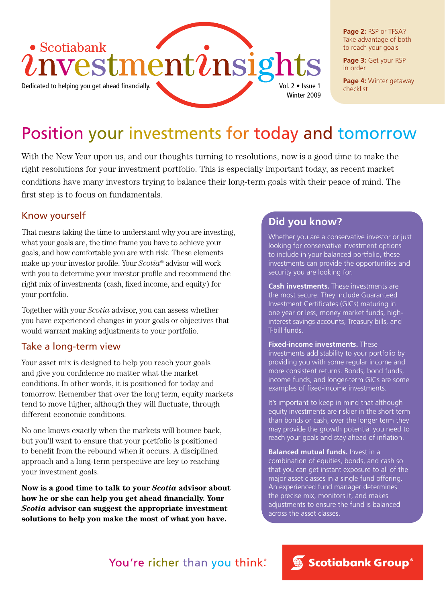

**Page 2:** RSP or TFSA? Take advantage of both to reach your goals

**Page 3:** Get your RSP in order

**Page 4:** Winter getaway

## Position your investments for today and tomorrow

With the New Year upon us, and our thoughts turning to resolutions, now is a good time to make the right resolutions for your investment portfolio. This is especially important today, as recent market conditions have many investors trying to balance their long-term goals with their peace of mind. The first step is to focus on fundamentals.

#### Know yourself

That means taking the time to understand why you are investing, what your goals are, the time frame you have to achieve your goals, and how comfortable you are with risk. These elements make up your investor profile. Your *Scotia®* advisor will work with you to determine your investor profile and recommend the right mix of investments (cash, fixed income, and equity) for your portfolio.

Together with your *Scotia* advisor, you can assess whether you have experienced changes in your goals or objectives that would warrant making adjustments to your portfolio.

#### Take a long-term view

Your asset mix is designed to help you reach your goals and give you confidence no matter what the market conditions. In other words, it is positioned for today and tomorrow. Remember that over the long term, equity markets tend to move higher, although they will fluctuate, through different economic conditions.

No one knows exactly when the markets will bounce back, but you'll want to ensure that your portfolio is positioned to benefit from the rebound when it occurs. A disciplined approach and a long-term perspective are key to reaching your investment goals.

**Now is a good time to talk to your** *Scotia* **advisor about how he or she can help you get ahead financially. Your**  *Scotia* **advisor can suggest the appropriate investment solutions to help you make the most of what you have.**

### **Did you know?**

Whether you are a conservative investor or just looking for conservative investment options to include in your balanced portfolio, these investments can provide the opportunities and security you are looking for.

**Cash investments.** These investments are the most secure. They include Guaranteed Investment Certificates (GICs) maturing in one year or less, money market funds, highinterest savings accounts, Treasury bills, and T-bill funds.

**Fixed-income investments.** These investments add stability to your portfolio by providing you with some regular income and more consistent returns. Bonds, bond funds, income funds, and longer-term GICs are some examples of fixed-income investments.

It's important to keep in mind that although equity investments are riskier in the short term than bonds or cash, over the longer term they may provide the growth potential you need to reach your goals and stay ahead of inflation.

**Balanced mutual funds.** Invest in a combination of equities, bonds, and cash so that you can get instant exposure to all of the major asset classes in a single fund offering. An experienced fund manager determines the precise mix, monitors it, and makes adjustments to ensure the fund is balanced across the asset classes.

### You're richer than you think.

Scotiabank Group®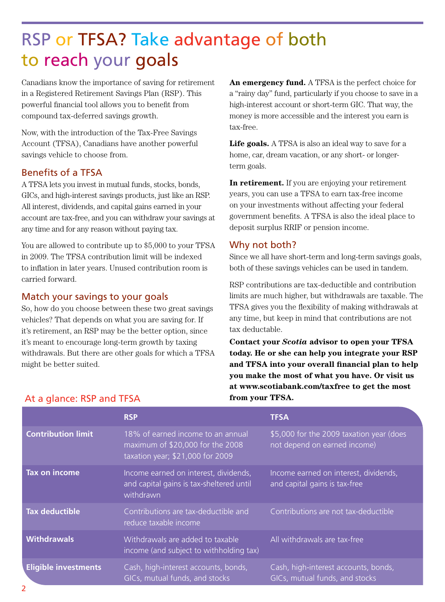# RSP or TFSA? Take advantage of both to reach your goals

Canadians know the importance of saving for retirement in a Registered Retirement Savings Plan (RSP). This powerful financial tool allows you to benefit from compound tax-deferred savings growth.

Now, with the introduction of the Tax-Free Savings Account (TFSA), Canadians have another powerful savings vehicle to choose from.

#### Benefits of a TFSA

A TFSA lets you invest in mutual funds, stocks, bonds, GICs, and high-interest savings products, just like an RSP. All interest, dividends, and capital gains earned in your account are tax-free, and you can withdraw your savings at any time and for any reason without paying tax.

You are allowed to contribute up to \$5,000 to your TFSA in 2009. The TFSA contribution limit will be indexed to inflation in later years. Unused contribution room is carried forward.

#### Match your savings to your goals

So, how do you choose between these two great savings vehicles? That depends on what you are saving for. If it's retirement, an RSP may be the better option, since it's meant to encourage long-term growth by taxing withdrawals. But there are other goals for which a TFSA might be better suited.

**An emergency fund.** A TFSA is the perfect choice for a "rainy day" fund, particularly if you choose to save in a high-interest account or short-term GIC. That way, the money is more accessible and the interest you earn is tax-free.

Life goals. A TFSA is also an ideal way to save for a home, car, dream vacation, or any short- or longerterm goals.

**In retirement.** If you are enjoying your retirement years, you can use a TFSA to earn tax-free income on your investments without affecting your federal government benefits. A TFSA is also the ideal place to deposit surplus RRIF or pension income.

#### Why not both?

Since we all have short-term and long-term savings goals, both of these savings vehicles can be used in tandem.

RSP contributions are tax-deductible and contribution limits are much higher, but withdrawals are taxable. The TFSA gives you the flexibility of making withdrawals at any time, but keep in mind that contributions are not tax deductable.

**Contact your** *Scotia* **advisor to open your TFSA today. He or she can help you integrate your RSP and TFSA into your overall financial plan to help you make the most of what you have. Or visit us at www.scotiabank.com/taxfree to get the most from your TFSA.**

|                             | <b>RSP</b>                                                                                                | <b>TFSA</b>                                                              |
|-----------------------------|-----------------------------------------------------------------------------------------------------------|--------------------------------------------------------------------------|
| <b>Contribution limit</b>   | 18% of earned income to an annual<br>maximum of \$20,000 for the 2008<br>taxation year; \$21,000 for 2009 | \$5,000 for the 2009 taxation year (does<br>not depend on earned income) |
| Tax on income               | Income earned on interest, dividends,<br>and capital gains is tax-sheltered until<br>withdrawn            | Income earned on interest, dividends,<br>and capital gains is tax-free   |
| <b>Tax deductible</b>       | Contributions are tax-deductible and<br>reduce taxable income                                             | Contributions are not tax-deductible                                     |
| <b>Withdrawals</b>          | Withdrawals are added to taxable<br>income (and subject to withholding tax)                               | All withdrawals are tax-free                                             |
| <b>Eligible investments</b> | Cash, high-interest accounts, bonds,<br>GICs, mutual funds, and stocks                                    | Cash, high-interest accounts, bonds,<br>GICs, mutual funds, and stocks   |

### At a glance: RSP and TFSA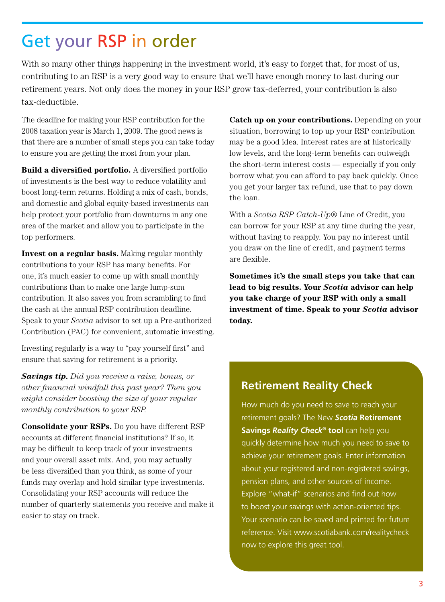### Get your RSP in order

With so many other things happening in the investment world, it's easy to forget that, for most of us, contributing to an RSP is a very good way to ensure that we'll have enough money to last during our retirement years. Not only does the money in your RSP grow tax-deferred, your contribution is also tax-deductible.

The deadline for making your RSP contribution for the 2008 taxation year is March 1, 2009. The good news is that there are a number of small steps you can take today to ensure you are getting the most from your plan.

**Build a diversified portfolio.** A diversified portfolio of investments is the best way to reduce volatility and boost long-term returns. Holding a mix of cash, bonds, and domestic and global equity-based investments can help protect your portfolio from downturns in any one area of the market and allow you to participate in the top performers.

**Invest on a regular basis.** Making regular monthly contributions to your RSP has many benefits. For one, it's much easier to come up with small monthly contributions than to make one large lump-sum contribution. It also saves you from scrambling to find the cash at the annual RSP contribution deadline. Speak to your *Scotia* advisor to set up a Pre-authorized Contribution (PAC) for convenient, automatic investing.

Investing regularly is a way to "pay yourself first" and ensure that saving for retirement is a priority.

*Savings tip. Did you receive a raise, bonus, or other financial windfall this past year? Then you might consider boosting the size of your regular monthly contribution to your RSP.*

**Consolidate your RSPs.** Do you have different RSP accounts at different financial institutions? If so, it may be difficult to keep track of your investments and your overall asset mix. And, you may actually be less diversified than you think, as some of your funds may overlap and hold similar type investments. Consolidating your RSP accounts will reduce the number of quarterly statements you receive and make it easier to stay on track.

**Catch up on your contributions.** Depending on your situation, borrowing to top up your RSP contribution may be a good idea. Interest rates are at historically low levels, and the long-term benefits can outweigh the short-term interest costs — especially if you only borrow what you can afford to pay back quickly. Once you get your larger tax refund, use that to pay down the loan.

With a *Scotia RSP Catch-Up*® Line of Credit, you can borrow for your RSP at any time during the year, without having to reapply. You pay no interest until you draw on the line of credit, and payment terms are flexible.

**Sometimes it's the small steps you take that can lead to big results. Your** *Scotia* **advisor can help you take charge of your RSP with only a small investment of time. Speak to your** *Scotia* **advisor today.**

### **Retirement Reality Check**

How much do you need to save to reach your retirement goals? The New *Scotia* **Retirement Savings** *Reality Check***® tool** can help you quickly determine how much you need to save to achieve your retirement goals. Enter information about your registered and non-registered savings, pension plans, and other sources of income. Explore "what-if" scenarios and find out how to boost your savings with action-oriented tips. Your scenario can be saved and printed for future reference. Visit www.scotiabank.com/realitycheck now to explore this great tool.